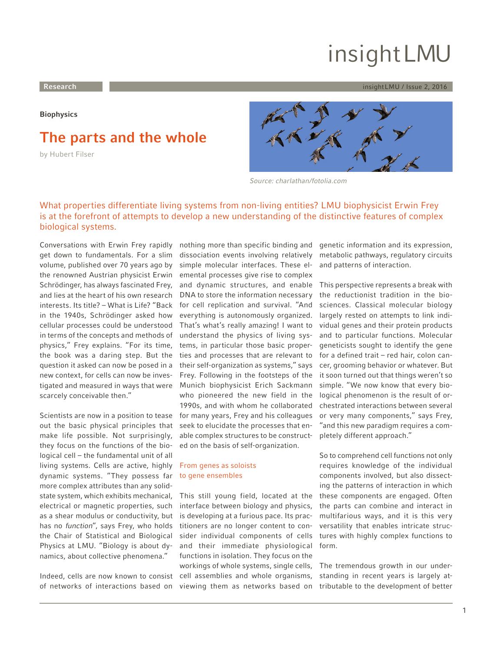# insightLMU

#### <span id="page-0-0"></span>**Research** insightLMU / Issue 2, 2016

**Biophysics**

## **The parts and the whole**

by Hubert Filser



Source: charlathan/fotolia.com

### What properties differentiate living systems from non-living entities? LMU biophysicist Erwin Frey is at the forefront of attempts to develop a new understanding of the distinctive features of complex biological systems.

Conversations with Erwin Frey rapidly get down to fundamentals. For a slim volume, published over 70 years ago by the renowned Austrian physicist Erwin Schrödinger, has always fascinated Frey, and lies at the heart of his own research interests. Its title? – What is Life? "Back in the 1940s, Schrödinger asked how cellular processes could be understood in terms of the concepts and methods of physics," Frey explains. "For its time, the book was a daring step. But the question it asked can now be posed in a new context, for cells can now be investigated and measured in ways that were scarcely conceivable then."

Scientists are now in a position to tease out the basic physical principles that make life possible. Not surprisingly, they focus on the functions of the biological cell – the fundamental unit of all living systems. Cells are active, highly dynamic systems. "They possess far more complex attributes than any solidstate system, which exhibits mechanical, electrical or magnetic properties, such as a shear modulus or conductivity, but has no function", says Frey, who holds the Chair of Statistical and Biological Physics at LMU. "Biology is about dynamics, about collective phenomena."

Indeed, cells are now known to consist of networks of interactions based on

nothing more than specific binding and dissociation events involving relatively simple molecular interfaces. These elemental processes give rise to complex and dynamic structures, and enable DNA to store the information necessary for cell replication and survival. "And everything is autonomously organized. That's what's really amazing! I want to understand the physics of living systems, in particular those basic properties and processes that are relevant to their self-organization as systems," says Frey. Following in the footsteps of the Munich biophysicist Erich Sackmann who pioneered the new field in the 1990s, and with whom he collaborated for many years, Frey and his colleagues seek to elucidate the processes that enable complex structures to be constructed on the basis of self-organization.

#### From genes as soloists to gene ensembles

This still young field, located at the interface between biology and physics, is developing at a furious pace. Its practitioners are no longer content to consider individual components of cells and their immediate physiological functions in isolation. They focus on the workings of whole systems, single cells, cell assemblies and whole organisms, viewing them as networks based on genetic information and its expression, metabolic pathways, regulatory circuits and patterns of interaction.

This perspective represents a break with the reductionist tradition in the biosciences. Classical molecular biology largely rested on attempts to link individual genes and their protein products and to particular functions. Molecular geneticists sought to identify the gene for a defined trait – red hair, colon cancer, grooming behavior or whatever. But it soon turned out that things weren't so simple. "We now know that every biological phenomenon is the result of orchestrated interactions between several or very many components," says Frey, "and this new paradigm requires a completely different approach."

So to comprehend cell functions not only requires knowledge of the individual components involved, but also dissecting the patterns of interaction in which these components are engaged. Often the parts can combine and interact in multifarious ways, and it is this very versatility that enables intricate structures with highly complex functions to form.

The tremendous growth in our understanding in recent years is largely attributable to the development of better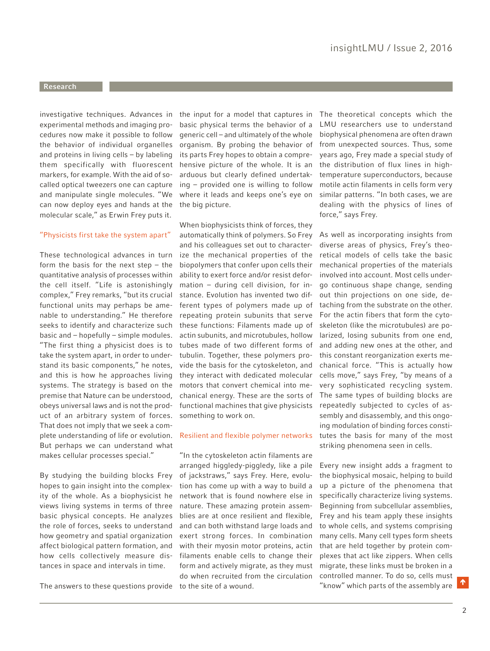#### <span id="page-1-0"></span>**Research**

investigative techniques. Advances in experimental methods and imaging procedures now make it possible to follow the behavior of individual organelles and proteins in living cells – by labeling them specifically with fluorescent markers, for example. With the aid of socalled optical tweezers one can capture and manipulate single molecules. "We can now deploy eyes and hands at the molecular scale," as Erwin Frey puts it.

#### "Physicists first take the system apart"

These technological advances in turn form the basis for the next step  $-$  the quantitative analysis of processes within the cell itself. "Life is astonishingly complex," Frey remarks, "but its crucial functional units may perhaps be amenable to understanding." He therefore seeks to identify and characterize such basic and – hopefully – simple modules. "The first thing a physicist does is to take the system apart, in order to understand its basic components," he notes, and this is how he approaches living systems. The strategy is based on the premise that Nature can be understood, obeys universal laws and is not the product of an arbitrary system of forces. That does not imply that we seek a complete understanding of life or evolution. But perhaps we can understand what makes cellular processes special."

By studying the building blocks Frey hopes to gain insight into the complexity of the whole. As a biophysicist he views living systems in terms of three basic physical concepts. He analyzes the role of forces, seeks to understand how geometry and spatial organization affect biological pattern formation, and how cells collectively measure distances in space and intervals in time.

the input for a model that captures in basic physical terms the behavior of a generic cell – and ultimately of the whole organism. By probing the behavior of its parts Frey hopes to obtain a comprehensive picture of the whole. It is an arduous but clearly defined undertaking – provided one is willing to follow where it leads and keeps one's eye on the big picture.

When biophysicists think of forces, they automatically think of polymers. So Frey and his colleagues set out to characterize the mechanical properties of the biopolymers that confer upon cells their ability to exert force and/or resist deformation – during cell division, for instance. Evolution has invented two different types of polymers made up of repeating protein subunits that serve these functions: Filaments made up of actin subunits, and microtubules, hollow tubes made of two different forms of tubulin. Together, these polymers provide the basis for the cytoskeleton, and they interact with dedicated molecular motors that convert chemical into mechanical energy. These are the sorts of functional machines that give physicists something to work on.

#### Resilient and flexible polymer networks

The answers to these questions provide to the site of a wound. ""Know" which parts of the assembly are "In the cytoskeleton actin filaments are arranged higgledy-piggledy, like a pile of jackstraws," says Frey. Here, evolution has come up with a way to build a network that is found nowhere else in nature. These amazing protein assemblies are at once resilient and flexible, and can both withstand large loads and exert strong forces. In combination with their myosin motor proteins, actin filaments enable cells to change their form and actively migrate, as they must do when recruited from the circulation

The theoretical concepts which the LMU researchers use to understand biophysical phenomena are often drawn from unexpected sources. Thus, some years ago, Frey made a special study of the distribution of flux lines in hightemperature superconductors, because motile actin filaments in cells form very similar patterns. "In both cases, we are dealing with the physics of lines of force," says Frey.

As well as incorporating insights from diverse areas of physics, Frey's theoretical models of cells take the basic mechanical properties of the materials involved into account. Most cells undergo continuous shape change, sending out thin projections on one side, detaching from the substrate on the other. For the actin fibers that form the cytoskeleton (like the microtubules) are polarized, losing subunits from one end, and adding new ones at the other, and this constant reorganization exerts mechanical force. "This is actually how cells move," says Frey, "by means of a very sophisticated recycling system. The same types of building blocks are repeatedly subjected to cycles of assembly and disassembly, and this ongoing modulation of binding forces constitutes the basis for many of the most striking phenomena seen in cells.

Every new insight adds a fragment to the biophysical mosaic, helping to build up a picture of the phenomena that specifically characterize living systems. Beginning from subcellular assemblies, Frey and his team apply these insights to whole cells, and systems comprising many cells. Many cell types form sheets that are held together by protein complexes that act like zippers. When cells migrate, these links must be broken in a controlled manner. To do so, cells must "know" which parts of the assembly are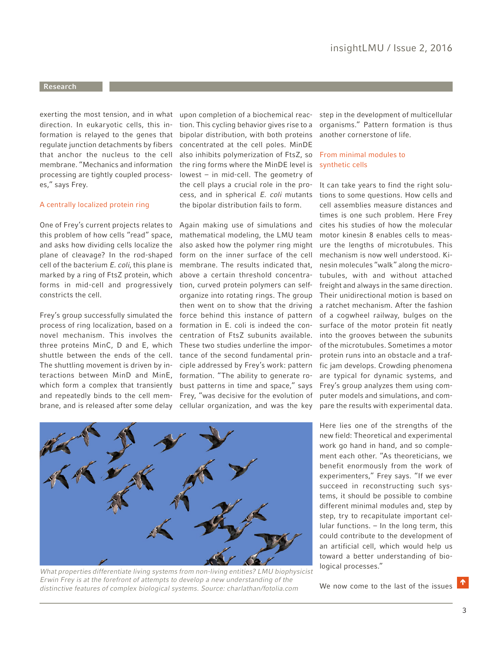#### <span id="page-2-0"></span>**Research**

exerting the most tension, and in what direction. In eukaryotic cells, this information is relayed to the genes that regulate junction detachments by fibers that anchor the nucleus to the cell membrane. "Mechanics and information processing are tightly coupled processes," says Frey.

#### A centrally localized protein ring

One of Frey's current projects relates to this problem of how cells "read" space, and asks how dividing cells localize the plane of cleavage? In the rod-shaped cell of the bacterium E. coli, this plane is marked by a ring of FtsZ protein, which forms in mid-cell and progressively constricts the cell.

Frey's group successfully simulated the process of ring localization, based on a novel mechanism. This involves the three proteins MinC, D and E, which shuttle between the ends of the cell. The shuttling movement is driven by interactions between MinD and MinE, which form a complex that transiently and repeatedly binds to the cell membrane, and is released after some delay

upon completion of a biochemical reaction. This cycling behavior gives rise to a bipolar distribution, with both proteins concentrated at the cell poles. MinDE also inhibits polymerization of FtsZ, so the ring forms where the MinDE level is lowest – in mid-cell. The geometry of the cell plays a crucial role in the process, and in spherical E. coli mutants the bipolar distribution fails to form.

Again making use of simulations and mathematical modeling, the LMU team also asked how the polymer ring might form on the inner surface of the cell membrane. The results indicated that, above a certain threshold concentration, curved protein polymers can selforganize into rotating rings. The group then went on to show that the driving force behind this instance of pattern formation in E. coli is indeed the concentration of FtsZ subunits available. These two studies underline the importance of the second fundamental principle addressed by Frey's work: pattern formation. "The ability to generate robust patterns in time and space," says Frey, "was decisive for the evolution of cellular organization, and was the key step in the development of multicellular organisms." Pattern formation is thus another cornerstone of life.

#### From minimal modules to synthetic cells

It can take years to find the right solutions to some questions. How cells and cell assemblies measure distances and times is one such problem. Here Frey cites his studies of how the molecular motor kinesin 8 enables cells to measure the lengths of microtubules. This mechanism is now well understood. Kinesin molecules "walk" along the microtubules, with and without attached freight and always in the same direction. Their unidirectional motion is based on a ratchet mechanism. After the fashion of a cogwheel railway, bulges on the surface of the motor protein fit neatly into the grooves between the subunits of the microtubules. Sometimes a motor protein runs into an obstacle and a traffic jam develops. Crowding phenomena are typical for dynamic systems, and Frey's group analyzes them using computer models and simulations, and compare the results with experimental data.

Here lies one of the strengths of the new field: Theoretical and experimental work go hand in hand, and so complement each other. "As theoreticians, we benefit enormously from the work of experimenters," Frey says. "If we ever succeed in reconstructing such systems, it should be possible to combine different minimal modules and, step by step, try to recapitulate important cellular functions. – In the long term, this could contribute to the development of an artificial cell, which would help us toward a better understanding of biological processes."

We now come to the last of the issues  $\blacksquare$ 



What properties differentiate living systems from non-living entities? LMU biophysicist Erwin Frey is at the forefront of attempts to develop a new understanding of the distinctive features of complex biological systems. Source: charlathan/fotolia.com